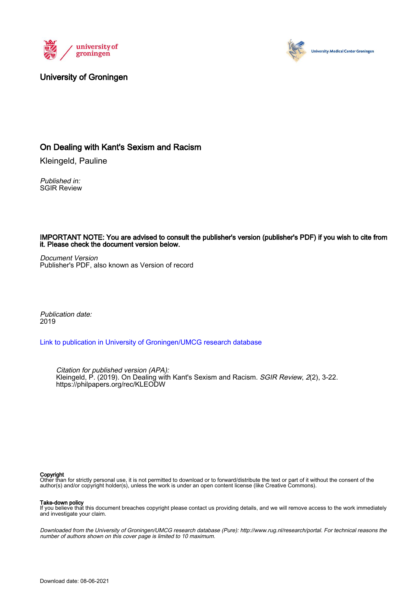



#### University of Groningen

#### On Dealing with Kant's Sexism and Racism

Kleingeld, Pauline

Published in: SGIR Review

IMPORTANT NOTE: You are advised to consult the publisher's version (publisher's PDF) if you wish to cite from it. Please check the document version below.

Document Version Publisher's PDF, also known as Version of record

Publication date: 2019

Link to publication in University of Groningen/UMCG research database

Citation for published version (APA): Kleingeld, P. (2019). On Dealing with Kant's Sexism and Racism. *SGIR Review, 2*(2), 3-22. https://philpapers.org/rec/KLEODW

#### Copyright

Other than for strictly personal use, it is not permitted to download or to forward/distribute the text or part of it without the consent of the author(s) and/or copyright holder(s), unless the work is under an open content license (like Creative Commons).

**Take-down policy**<br>If you believe that this document breaches copyright please contact us providing details, and we will remove access to the work immediately and investigate your claim.

Downloaded from the University of Groningen/UMCG research database (Pure): http://www.rug.nl/research/portal. For technical reasons the number of authors shown on this cover page is limited to 10 maximum.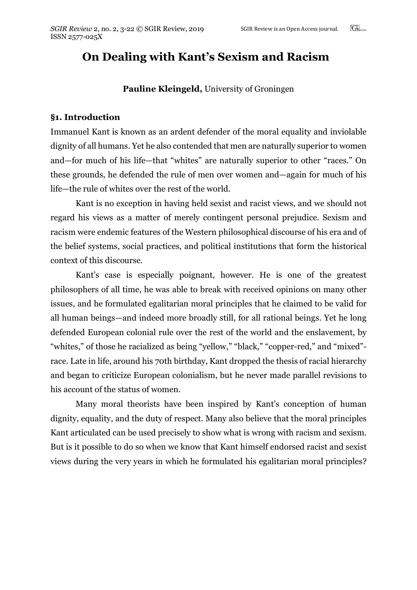# **On Dealing with Kant's Sexism and Racism**

#### **Pauline Kleingeld,** University of Groningen

#### **§1. Introduction**

Immanuel Kant is known as an ardent defender of the moral equality and inviolable dignity of all humans. Yet he also contended that men are naturally superior to women and—for much of his life—that "whites" are naturally superior to other "races." On these grounds, he defended the rule of men over women and—again for much of his life—the rule of whites over the rest of the world.

Kant is no exception in having held sexist and racist views, and we should not regard his views as a matter of merely contingent personal prejudice. Sexism and racism were endemic features of the Western philosophical discourse of his era and of the belief systems, social practices, and political institutions that form the historical context of this discourse.

Kant's case is especially poignant, however. He is one of the greatest philosophers of all time, he was able to break with received opinions on many other issues, and he formulated egalitarian moral principles that he claimed to be valid for all human beings—and indeed more broadly still, for all rational beings. Yet he long defended European colonial rule over the rest of the world and the enslavement, by "whites," of those he racialized as being "yellow," "black," "copper-red," and "mixed" race. Late in life, around his 70th birthday, Kant dropped the thesis of racial hierarchy and began to criticize European colonialism, but he never made parallel revisions to his account of the status of women.

Many moral theorists have been inspired by Kant's conception of human dignity, equality, and the duty of respect. Many also believe that the moral principles Kant articulated can be used precisely to show what is wrong with racism and sexism. But is it possible to do so when we know that Kant himself endorsed racist and sexist views during the very years in which he formulated his egalitarian moral principles?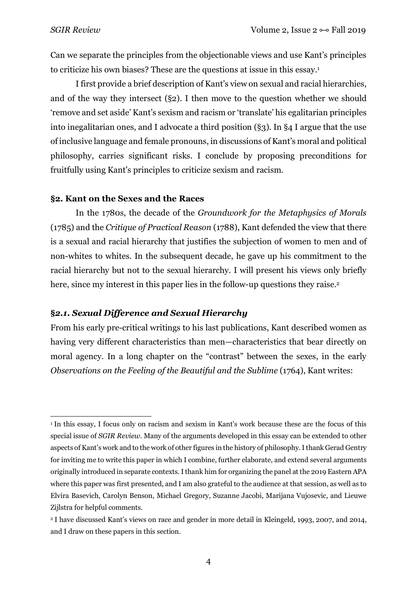Can we separate the principles from the objectionable views and use Kant's principles to criticize his own biases? These are the questions at issue in this essay.1

I first provide a brief description of Kant's view on sexual and racial hierarchies, and of the way they intersect (§2). I then move to the question whether we should 'remove and set aside' Kant's sexism and racism or 'translate' his egalitarian principles into inegalitarian ones, and I advocate a third position (§3). In §4 I argue that the use of inclusive language and female pronouns, in discussions of Kant's moral and political philosophy, carries significant risks. I conclude by proposing preconditions for fruitfully using Kant's principles to criticize sexism and racism.

#### **§2. Kant on the Sexes and the Races**

In the 1780s, the decade of the *Groundwork for the Metaphysics of Morals* (1785) and the *Critique of Practical Reason* (1788), Kant defended the view that there is a sexual and racial hierarchy that justifies the subjection of women to men and of non-whites to whites. In the subsequent decade, he gave up his commitment to the racial hierarchy but not to the sexual hierarchy. I will present his views only briefly here, since my interest in this paper lies in the follow-up questions they raise.<sup>2</sup>

## **§***2.1. Sexual Difference and Sexual Hierarchy*

From his early pre-critical writings to his last publications, Kant described women as having very different characteristics than men—characteristics that bear directly on moral agency. In a long chapter on the "contrast" between the sexes, in the early *Observations on the Feeling of the Beautiful and the Sublime* (1764), Kant writes:

 $\overline{a}$ <sup>1</sup> In this essay, I focus only on racism and sexism in Kant's work because these are the focus of this special issue of *SGIR Review.* Many of the arguments developed in this essay can be extended to other aspects of Kant's work and to the work of other figures in the history of philosophy.Ithank Gerad Gentry for inviting me to write this paper in which I combine, further elaborate, and extend several arguments originally introduced in separate contexts.Ithank him for organizing the panel at the 2019 Eastern APA where this paper was first presented, and I am also grateful to the audience at that session, as well as to Elvira Basevich, Carolyn Benson, Michael Gregory, Suzanne Jacobi, Marijana Vujosevic, and Lieuwe Zijlstra for helpful comments.

<sup>2</sup> I have discussed Kant's views on race and gender in more detail in Kleingeld, 1993, 2007, and 2014, and I draw on these papers in this section.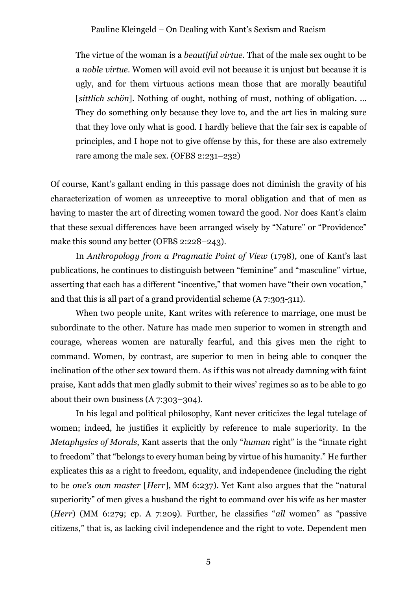The virtue of the woman is a *beautiful virtue.* That of the male sex ought to be a *noble virtue*. Women will avoid evil not because it is unjust but because it is ugly, and for them virtuous actions mean those that are morally beautiful [*sittlich schön*]. Nothing of ought, nothing of must, nothing of obligation. … They do something only because they love to, and the art lies in making sure that they love only what is good. I hardly believe that the fair sex is capable of principles, and I hope not to give offense by this, for these are also extremely rare among the male sex. (OFBS 2:231–232)

Of course, Kant's gallant ending in this passage does not diminish the gravity of his characterization of women as unreceptive to moral obligation and that of men as having to master the art of directing women toward the good. Nor does Kant's claim that these sexual differences have been arranged wisely by "Nature" or "Providence" make this sound any better (OFBS 2:228–243).

In *Anthropology from a Pragmatic Point of View* (1798)*,* one of Kant's last publications, he continues to distinguish between "feminine" and "masculine" virtue, asserting that each has a different "incentive," that women have "their own vocation," and that this is all part of a grand providential scheme (A 7:303-311).

When two people unite, Kant writes with reference to marriage, one must be subordinate to the other. Nature has made men superior to women in strength and courage, whereas women are naturally fearful, and this gives men the right to command. Women, by contrast, are superior to men in being able to conquer the inclination of the other sex toward them. As if this was not already damning with faint praise, Kant adds that men gladly submit to their wives' regimes so as to be able to go about their own business (A 7:303–304).

In his legal and political philosophy, Kant never criticizes the legal tutelage of women; indeed, he justifies it explicitly by reference to male superiority. In the *Metaphysics of Morals*, Kant asserts that the only "*human* right" is the "innate right to freedom" that "belongs to every human being by virtue of his humanity." He further explicates this as a right to freedom, equality, and independence (including the right to be *one's own master* [*Herr*], MM 6:237). Yet Kant also argues that the "natural superiority" of men gives a husband the right to command over his wife as her master (*Herr*) (MM 6:279; cp. A 7:209). Further, he classifies "*all* women" as "passive citizens," that is, as lacking civil independence and the right to vote. Dependent men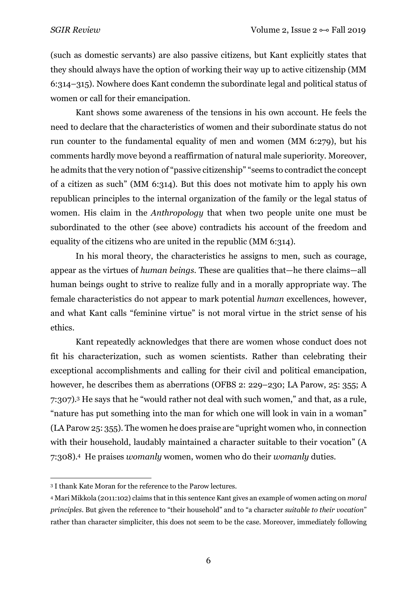(such as domestic servants) are also passive citizens, but Kant explicitly states that they should always have the option of working their way up to active citizenship (MM 6:314–315). Nowhere does Kant condemn the subordinate legal and political status of women or call for their emancipation.

Kant shows some awareness of the tensions in his own account. He feels the need to declare that the characteristics of women and their subordinate status do not run counter to the fundamental equality of men and women (MM 6:279), but his comments hardly move beyond a reaffirmation of natural male superiority. Moreover, he admits that the very notion of "passive citizenship" "seems to contradict the concept of a citizen as such" (MM 6:314). But this does not motivate him to apply his own republican principles to the internal organization of the family or the legal status of women. His claim in the *Anthropology* that when two people unite one must be subordinated to the other (see above) contradicts his account of the freedom and equality of the citizens who are united in the republic (MM 6:314).

In his moral theory, the characteristics he assigns to men, such as courage, appear as the virtues of *human beings*. These are qualities that—he there claims—all human beings ought to strive to realize fully and in a morally appropriate way. The female characteristics do not appear to mark potential *human* excellences, however, and what Kant calls "feminine virtue" is not moral virtue in the strict sense of his ethics.

Kant repeatedly acknowledges that there are women whose conduct does not fit his characterization, such as women scientists. Rather than celebrating their exceptional accomplishments and calling for their civil and political emancipation, however, he describes them as aberrations (OFBS 2: 229–230; LA Parow, 25: 355; A 7:307).3 He says that he "would rather not deal with such women," and that, as a rule, "nature has put something into the man for which one will look in vain in a woman" (LA Parow 25: 355). The women he does praise are "upright women who, in connection with their household, laudably maintained a character suitable to their vocation" (A 7:308).4 He praises *womanly* women, women who do their *womanly* duties.

 $\overline{a}$ <sup>3</sup> I thank Kate Moran for the reference to the Parow lectures.

<sup>4</sup> Mari Mikkola (2011:102) claims that in this sentence Kant gives an example of women acting on *moral principles*. But given the reference to "their household" and to "a character *suitable to their vocation*" rather than character simpliciter, this does not seem to be the case. Moreover, immediately following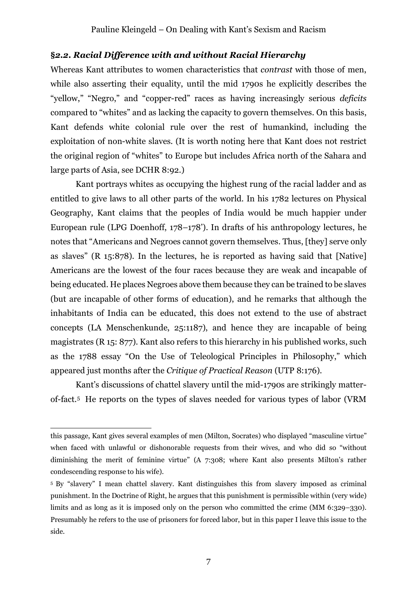## **§***2.2. Racial Difference with and without Racial Hierarchy*

Whereas Kant attributes to women characteristics that *contrast* with those of men, while also asserting their equality, until the mid 1790s he explicitly describes the "yellow," "Negro," and "copper-red" races as having increasingly serious *deficits* compared to "whites" and as lacking the capacity to govern themselves. On this basis, Kant defends white colonial rule over the rest of humankind, including the exploitation of non-white slaves. (It is worth noting here that Kant does not restrict the original region of "whites" to Europe but includes Africa north of the Sahara and large parts of Asia, see DCHR 8:92.)

Kant portrays whites as occupying the highest rung of the racial ladder and as entitled to give laws to all other parts of the world. In his 1782 lectures on Physical Geography, Kant claims that the peoples of India would be much happier under European rule (LPG Doenhoff, 178–178'). In drafts of his anthropology lectures, he notes that "Americans and Negroes cannot govern themselves. Thus, [they] serve only as slaves" (R 15:878). In the lectures, he is reported as having said that [Native] Americans are the lowest of the four races because they are weak and incapable of being educated. He places Negroes above them because they can be trained to be slaves (but are incapable of other forms of education), and he remarks that although the inhabitants of India can be educated, this does not extend to the use of abstract concepts (LA Menschenkunde, 25:1187), and hence they are incapable of being magistrates (R 15: 877). Kant also refers to this hierarchy in his published works, such as the 1788 essay "On the Use of Teleological Principles in Philosophy," which appeared just months after the *Critique of Practical Reason* (UTP 8:176).

Kant's discussions of chattel slavery until the mid-1790s are strikingly matterof-fact.5 He reports on the types of slaves needed for various types of labor (VRM

this passage, Kant gives several examples of men (Milton, Socrates) who displayed "masculine virtue" when faced with unlawful or dishonorable requests from their wives, and who did so "without diminishing the merit of feminine virtue" (A 7:308; where Kant also presents Milton's rather condescending response to his wife).

<sup>5</sup> By "slavery" I mean chattel slavery. Kant distinguishes this from slavery imposed as criminal punishment. In the Doctrine of Right, he argues that this punishment is permissible within (very wide) limits and as long as it is imposed only on the person who committed the crime (MM 6:329–330). Presumably he refers to the use of prisoners for forced labor, but in this paper I leave this issue to the side.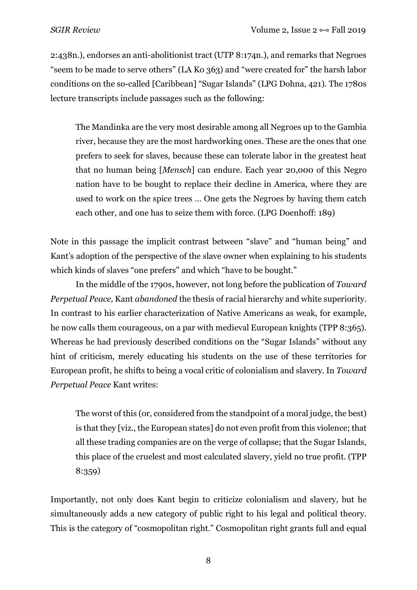2:438n.), endorses an anti-abolitionist tract (UTP 8:174n.), and remarks that Negroes "seem to be made to serve others" (LA Ko 363) and "were created for" the harsh labor conditions on the so-called [Caribbean] "Sugar Islands" (LPG Dohna, 421). The 1780s lecture transcripts include passages such as the following:

The Mandinka are the very most desirable among all Negroes up to the Gambia river, because they are the most hardworking ones. These are the ones that one prefers to seek for slaves, because these can tolerate labor in the greatest heat that no human being [*Mensch*] can endure. Each year 20,000 of this Negro nation have to be bought to replace their decline in America, where they are used to work on the spice trees … One gets the Negroes by having them catch each other, and one has to seize them with force. (LPG Doenhoff: 189)

Note in this passage the implicit contrast between "slave" and "human being" and Kant's adoption of the perspective of the slave owner when explaining to his students which kinds of slaves "one prefers" and which "have to be bought."

In the middle of the 1790s, however, not long before the publication of *Toward Perpetual Peace,* Kant *abandoned* the thesis of racial hierarchy and white superiority. In contrast to his earlier characterization of Native Americans as weak, for example, he now calls them courageous, on a par with medieval European knights (TPP 8:365). Whereas he had previously described conditions on the "Sugar Islands" without any hint of criticism, merely educating his students on the use of these territories for European profit, he shifts to being a vocal critic of colonialism and slavery. In *Toward Perpetual Peace* Kant writes:

The worst of this (or, considered from the standpoint of a moral judge, the best) is that they [viz., the European states] do not even profit from this violence; that all these trading companies are on the verge of collapse; that the Sugar Islands, this place of the cruelest and most calculated slavery, yield no true profit. (TPP 8:359)

Importantly, not only does Kant begin to criticize colonialism and slavery, but he simultaneously adds a new category of public right to his legal and political theory. This is the category of "cosmopolitan right." Cosmopolitan right grants full and equal

8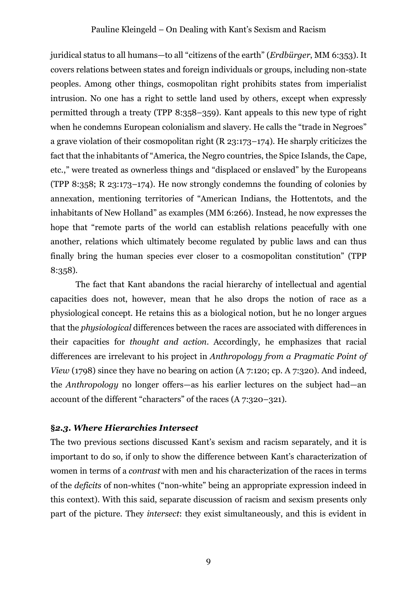juridical status to all humans—to all "citizens of the earth" (*Erdbürger*, MM 6:353). It covers relations between states and foreign individuals or groups, including non-state peoples. Among other things, cosmopolitan right prohibits states from imperialist intrusion. No one has a right to settle land used by others, except when expressly permitted through a treaty (TPP 8:358–359). Kant appeals to this new type of right when he condemns European colonialism and slavery. He calls the "trade in Negroes" a grave violation of their cosmopolitan right (R 23:173–174). He sharply criticizes the fact that the inhabitants of "America, the Negro countries, the Spice Islands, the Cape, etc.," were treated as ownerless things and "displaced or enslaved" by the Europeans (TPP 8:358; R 23:173–174). He now strongly condemns the founding of colonies by annexation, mentioning territories of "American Indians, the Hottentots, and the inhabitants of New Holland" as examples (MM 6:266). Instead, he now expresses the hope that "remote parts of the world can establish relations peacefully with one another, relations which ultimately become regulated by public laws and can thus finally bring the human species ever closer to a cosmopolitan constitution" (TPP 8:358).

The fact that Kant abandons the racial hierarchy of intellectual and agential capacities does not, however, mean that he also drops the notion of race as a physiological concept. He retains this as a biological notion, but he no longer argues that the *physiological* differences between the races are associated with differences in their capacities for *thought and action*. Accordingly, he emphasizes that racial differences are irrelevant to his project in *Anthropology from a Pragmatic Point of View* (1798) since they have no bearing on action (A 7:120; cp. A 7:320). And indeed, the *Anthropology* no longer offers—as his earlier lectures on the subject had—an account of the different "characters" of the races (A 7:320–321).

## **§***2.3. Where Hierarchies Intersect*

The two previous sections discussed Kant's sexism and racism separately, and it is important to do so, if only to show the difference between Kant's characterization of women in terms of a *contrast* with men and his characterization of the races in terms of the *deficits* of non-whites ("non-white" being an appropriate expression indeed in this context). With this said, separate discussion of racism and sexism presents only part of the picture. They *intersect*: they exist simultaneously, and this is evident in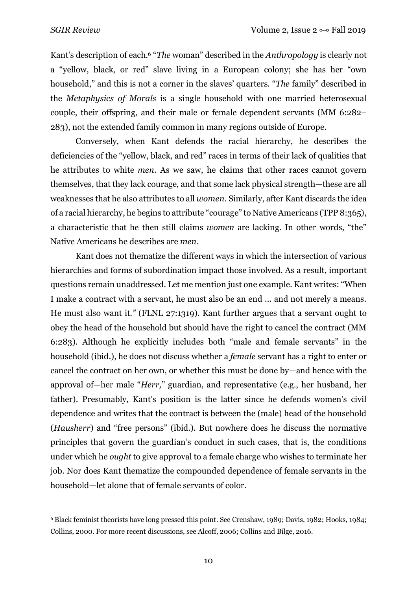$\overline{a}$ 

Kant's description of each.6 "*The* woman" described in the *Anthropology* is clearly not a "yellow, black, or red" slave living in a European colony; she has her "own household," and this is not a corner in the slaves' quarters. "*The* family" described in the *Metaphysics of Morals* is a single household with one married heterosexual couple, their offspring, and their male or female dependent servants (MM 6:282– 283), not the extended family common in many regions outside of Europe.

Conversely, when Kant defends the racial hierarchy, he describes the deficiencies of the "yellow, black, and red" races in terms of their lack of qualities that he attributes to white *men*. As we saw, he claims that other races cannot govern themselves, that they lack courage, and that some lack physical strength—these are all weaknesses that he also attributes to all *women.* Similarly, after Kant discards the idea of a racial hierarchy, he begins to attribute "courage" to Native Americans (TPP 8:365), a characteristic that he then still claims *women* are lacking. In other words, "the" Native Americans he describes are *men*.

Kant does not thematize the different ways in which the intersection of various hierarchies and forms of subordination impact those involved. As a result, important questions remain unaddressed. Let me mention just one example. Kant writes: "When I make a contract with a servant, he must also be an end ... and not merely a means. He must also want it.*"* (FLNL 27:1319). Kant further argues that a servant ought to obey the head of the household but should have the right to cancel the contract (MM 6:283). Although he explicitly includes both "male and female servants" in the household (ibid.), he does not discuss whether a *female* servant has a right to enter or cancel the contract on her own, or whether this must be done by—and hence with the approval of—her male "*Herr,*" guardian, and representative (e.g., her husband, her father). Presumably, Kant's position is the latter since he defends women's civil dependence and writes that the contract is between the (male) head of the household (*Hausherr*) and "free persons" (ibid.). But nowhere does he discuss the normative principles that govern the guardian's conduct in such cases, that is, the conditions under which he *ought* to give approval to a female charge who wishes to terminate her job. Nor does Kant thematize the compounded dependence of female servants in the household—let alone that of female servants of color.

<sup>6</sup> Black feminist theorists have long pressed this point. See Crenshaw, 1989; Davis, 1982; Hooks, 1984; Collins, 2000. For more recent discussions, see Alcoff, 2006; Collins and Bilge, 2016.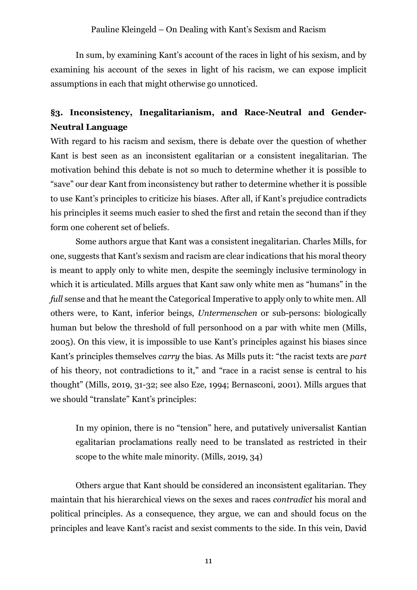In sum, by examining Kant's account of the races in light of his sexism, and by examining his account of the sexes in light of his racism, we can expose implicit assumptions in each that might otherwise go unnoticed.

# **§3. Inconsistency, Inegalitarianism, and Race-Neutral and Gender-Neutral Language**

With regard to his racism and sexism, there is debate over the question of whether Kant is best seen as an inconsistent egalitarian or a consistent inegalitarian. The motivation behind this debate is not so much to determine whether it is possible to "save" our dear Kant from inconsistency but rather to determine whether it is possible to use Kant's principles to criticize his biases. After all, if Kant's prejudice contradicts his principles it seems much easier to shed the first and retain the second than if they form one coherent set of beliefs.

Some authors argue that Kant was a consistent inegalitarian. Charles Mills, for one, suggests that Kant's sexism and racism are clear indications that his moral theory is meant to apply only to white men, despite the seemingly inclusive terminology in which it is articulated. Mills argues that Kant saw only white men as "humans" in the *full* sense and that he meant the Categorical Imperative to apply only to white men. All others were, to Kant, inferior beings, *Untermenschen* or sub-persons: biologically human but below the threshold of full personhood on a par with white men (Mills, 2005). On this view, it is impossible to use Kant's principles against his biases since Kant's principles themselves *carry* the bias. As Mills puts it: "the racist texts are *part* of his theory, not contradictions to it," and "race in a racist sense is central to his thought" (Mills, 2019, 31-32; see also Eze, 1994; Bernasconi, 2001). Mills argues that we should "translate" Kant's principles:

In my opinion, there is no "tension" here, and putatively universalist Kantian egalitarian proclamations really need to be translated as restricted in their scope to the white male minority. (Mills, 2019, 34)

Others argue that Kant should be considered an inconsistent egalitarian. They maintain that his hierarchical views on the sexes and races *contradict* his moral and political principles. As a consequence, they argue, we can and should focus on the principles and leave Kant's racist and sexist comments to the side. In this vein, David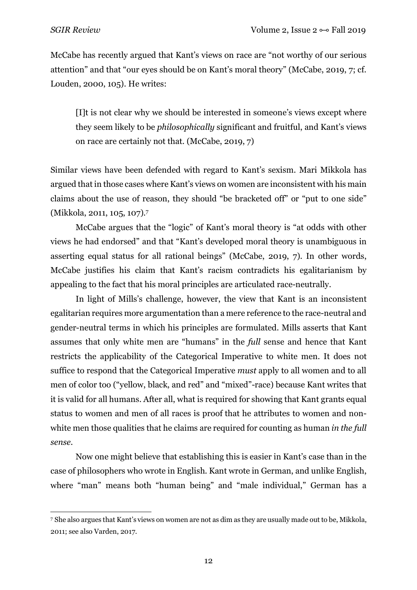McCabe has recently argued that Kant's views on race are "not worthy of our serious attention" and that "our eyes should be on Kant's moral theory" (McCabe, 2019, 7; cf. Louden, 2000, 105). He writes:

[I]t is not clear why we should be interested in someone's views except where they seem likely to be *philosophically* significant and fruitful, and Kant's views on race are certainly not that. (McCabe, 2019, 7)

Similar views have been defended with regard to Kant's sexism. Mari Mikkola has argued that in those cases where Kant's views on women are inconsistent with his main claims about the use of reason, they should "be bracketed off" or "put to one side" (Mikkola, 2011, 105, 107).7

McCabe argues that the "logic" of Kant's moral theory is "at odds with other views he had endorsed" and that "Kant's developed moral theory is unambiguous in asserting equal status for all rational beings" (McCabe, 2019, 7). In other words, McCabe justifies his claim that Kant's racism contradicts his egalitarianism by appealing to the fact that his moral principles are articulated race-neutrally.

In light of Mills's challenge, however, the view that Kant is an inconsistent egalitarian requires more argumentation than a mere reference to the race-neutral and gender-neutral terms in which his principles are formulated. Mills asserts that Kant assumes that only white men are "humans" in the *full* sense and hence that Kant restricts the applicability of the Categorical Imperative to white men. It does not suffice to respond that the Categorical Imperative *must* apply to all women and to all men of color too ("yellow, black, and red" and "mixed"-race) because Kant writes that it is valid for all humans. After all, what is required for showing that Kant grants equal status to women and men of all races is proof that he attributes to women and nonwhite men those qualities that he claims are required for counting as human *in the full sense*.

Now one might believe that establishing this is easier in Kant's case than in the case of philosophers who wrote in English. Kant wrote in German, and unlike English, where "man" means both "human being" and "male individual," German has a

 $\overline{a}$ <sup>7</sup> She also argues that Kant's views on women are not as dim as they are usually made out to be, Mikkola, 2011; see also Varden, 2017.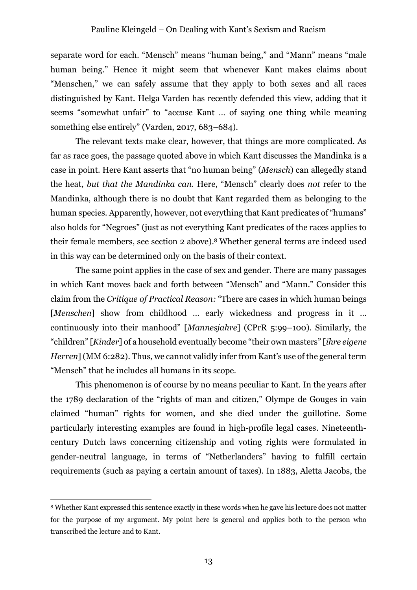separate word for each. "Mensch" means "human being," and "Mann" means "male human being." Hence it might seem that whenever Kant makes claims about "Menschen," we can safely assume that they apply to both sexes and all races distinguished by Kant. Helga Varden has recently defended this view, adding that it seems "somewhat unfair" to "accuse Kant … of saying one thing while meaning something else entirely" (Varden, 2017, 683–684).

The relevant texts make clear, however, that things are more complicated. As far as race goes, the passage quoted above in which Kant discusses the Mandinka is a case in point. Here Kant asserts that "no human being" (*Mensch*) can allegedly stand the heat, *but that the Mandinka can*. Here, "Mensch" clearly does *not* refer to the Mandinka, although there is no doubt that Kant regarded them as belonging to the human species. Apparently, however, not everything that Kant predicates of "humans" also holds for "Negroes" (just as not everything Kant predicates of the races applies to their female members, see section 2 above).8 Whether general terms are indeed used in this way can be determined only on the basis of their context.

The same point applies in the case of sex and gender. There are many passages in which Kant moves back and forth between "Mensch" and "Mann." Consider this claim from the *Critique of Practical Reason:* "There are cases in which human beings [*Menschen*] show from childhood … early wickedness and progress in it … continuously into their manhood" [*Mannesjahre*] (CPrR 5:99–100). Similarly, the "children" [*Kinder*] of a household eventually become "their own masters" [*ihre eigene Herren*](MM 6:282). Thus, we cannot validly infer from Kant's use of the general term "Mensch" that he includes all humans in its scope.

This phenomenon is of course by no means peculiar to Kant. In the years after the 1789 declaration of the "rights of man and citizen," Olympe de Gouges in vain claimed "human" rights for women, and she died under the guillotine. Some particularly interesting examples are found in high-profile legal cases. Nineteenthcentury Dutch laws concerning citizenship and voting rights were formulated in gender-neutral language, in terms of "Netherlanders" having to fulfill certain requirements (such as paying a certain amount of taxes). In 1883, Aletta Jacobs, the

<sup>8</sup> Whether Kant expressed this sentence exactly in these words when he gave his lecture does not matter for the purpose of my argument. My point here is general and applies both to the person who transcribed the lecture and to Kant.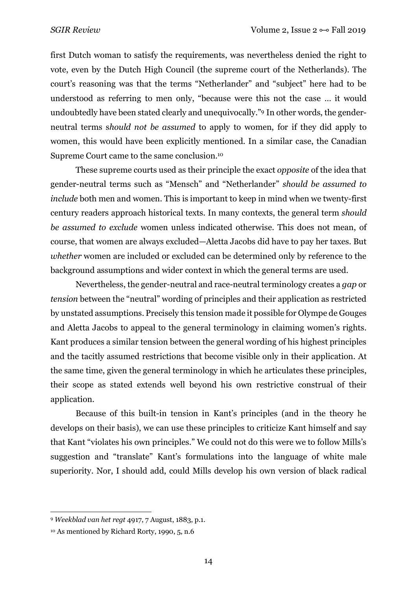first Dutch woman to satisfy the requirements, was nevertheless denied the right to vote, even by the Dutch High Council (the supreme court of the Netherlands). The court's reasoning was that the terms "Netherlander" and "subject" here had to be understood as referring to men only, "because were this not the case … it would undoubtedly have been stated clearly and unequivocally."9 In other words, the genderneutral terms s*hould not be assumed* to apply to women, for if they did apply to women, this would have been explicitly mentioned. In a similar case, the Canadian Supreme Court came to the same conclusion.10

These supreme courts used as their principle the exact *opposite* of the idea that gender-neutral terms such as "Mensch" and "Netherlander" *should be assumed to include* both men and women. This is important to keep in mind when we twenty-first century readers approach historical texts. In many contexts, the general term *should be assumed to exclude* women unless indicated otherwise. This does not mean, of course, that women are always excluded—Aletta Jacobs did have to pay her taxes. But *whether* women are included or excluded can be determined only by reference to the background assumptions and wider context in which the general terms are used.

Nevertheless, the gender-neutral and race-neutral terminology creates a *gap* or *tension* between the "neutral" wording of principles and their application as restricted by unstated assumptions. Precisely this tension made it possible for Olympe de Gouges and Aletta Jacobs to appeal to the general terminology in claiming women's rights. Kant produces a similar tension between the general wording of his highest principles and the tacitly assumed restrictions that become visible only in their application. At the same time, given the general terminology in which he articulates these principles, their scope as stated extends well beyond his own restrictive construal of their application.

Because of this built-in tension in Kant's principles (and in the theory he develops on their basis), we can use these principles to criticize Kant himself and say that Kant "violates his own principles." We could not do this were we to follow Mills's suggestion and "translate" Kant's formulations into the language of white male superiority. Nor, I should add, could Mills develop his own version of black radical

<sup>9</sup> *Weekblad van het regt* 4917, 7 August, 1883, p.1.

<sup>10</sup> As mentioned by Richard Rorty, 1990, 5, n.6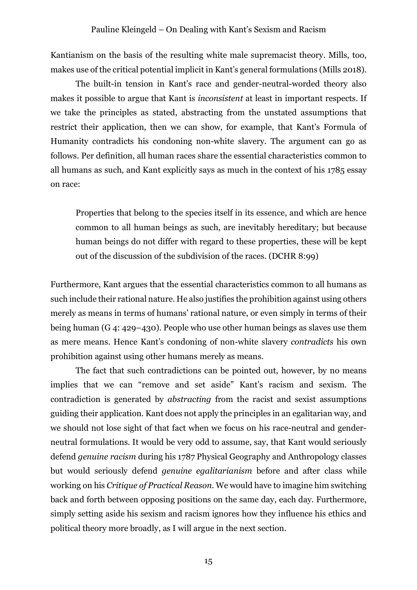Kantianism on the basis of the resulting white male supremacist theory. Mills, too, makes use of the critical potential implicit in Kant's general formulations (Mills 2018).

The built-in tension in Kant's race and gender-neutral-worded theory also makes it possible to argue that Kant is *inconsistent* at least in important respects. If we take the principles as stated, abstracting from the unstated assumptions that restrict their application, then we can show, for example, that Kant's Formula of Humanity contradicts his condoning non-white slavery. The argument can go as follows. Per definition, all human races share the essential characteristics common to all humans as such, and Kant explicitly says as much in the context of his 1785 essay on race:

Properties that belong to the species itself in its essence, and which are hence common to all human beings as such, are inevitably hereditary; but because human beings do not differ with regard to these properties, these will be kept out of the discussion of the subdivision of the races. (DCHR 8:99)

Furthermore, Kant argues that the essential characteristics common to all humans as such include their rational nature. He also justifies the prohibition against using others merely as means in terms of humans' rational nature, or even simply in terms of their being human (G 4: 429–430). People who use other human beings as slaves use them as mere means. Hence Kant's condoning of non-white slavery *contradicts* his own prohibition against using other humans merely as means.

The fact that such contradictions can be pointed out, however, by no means implies that we can "remove and set aside" Kant's racism and sexism. The contradiction is generated by *abstracting* from the racist and sexist assumptions guiding their application. Kant does not apply the principles in an egalitarian way, and we should not lose sight of that fact when we focus on his race-neutral and genderneutral formulations. It would be very odd to assume, say, that Kant would seriously defend *genuine racism* during his 1787 Physical Geography and Anthropology classes but would seriously defend *genuine egalitarianism* before and after class while working on his *Critique of Practical Reason*. We would have to imagine him switching back and forth between opposing positions on the same day, each day. Furthermore, simply setting aside his sexism and racism ignores how they influence his ethics and political theory more broadly, as I will argue in the next section.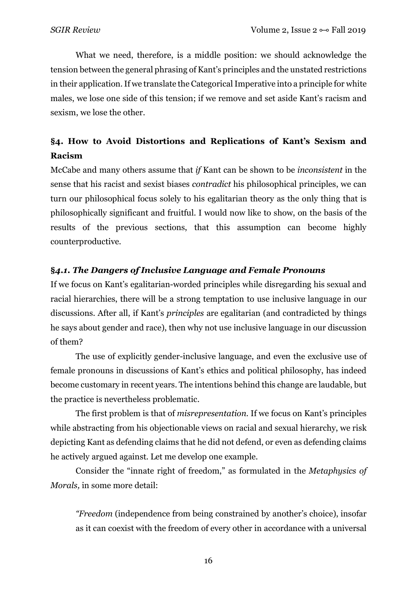What we need, therefore, is a middle position: we should acknowledge the tension between the general phrasing of Kant's principles and the unstated restrictions in their application. If we translate the Categorical Imperative into a principle for white males, we lose one side of this tension; if we remove and set aside Kant's racism and sexism, we lose the other.

# **§4. How to Avoid Distortions and Replications of Kant's Sexism and Racism**

McCabe and many others assume that *if* Kant can be shown to be *inconsistent* in the sense that his racist and sexist biases *contradict* his philosophical principles, we can turn our philosophical focus solely to his egalitarian theory as the only thing that is philosophically significant and fruitful. I would now like to show, on the basis of the results of the previous sections, that this assumption can become highly counterproductive.

# **§***4.1. The Dangers of Inclusive Language and Female Pronouns*

If we focus on Kant's egalitarian-worded principles while disregarding his sexual and racial hierarchies, there will be a strong temptation to use inclusive language in our discussions. After all, if Kant's *principles* are egalitarian (and contradicted by things he says about gender and race), then why not use inclusive language in our discussion of them?

The use of explicitly gender-inclusive language, and even the exclusive use of female pronouns in discussions of Kant's ethics and political philosophy, has indeed become customary in recent years. The intentions behind this change are laudable, but the practice is nevertheless problematic.

The first problem is that of *misrepresentation*. If we focus on Kant's principles while abstracting from his objectionable views on racial and sexual hierarchy, we risk depicting Kant as defending claims that he did not defend, or even as defending claims he actively argued against. Let me develop one example.

Consider the "innate right of freedom," as formulated in the *Metaphysics of Morals,* in some more detail:

*"Freedom* (independence from being constrained by another's choice), insofar as it can coexist with the freedom of every other in accordance with a universal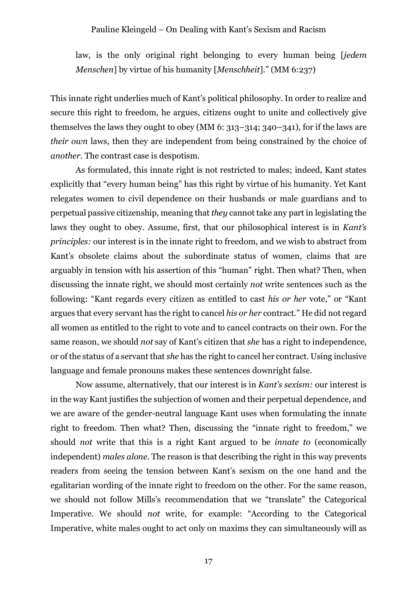law, is the only original right belonging to every human being [*jedem Menschen*] by virtue of his humanity [*Menschheit*]." (MM 6:237)

This innate right underlies much of Kant's political philosophy. In order to realize and secure this right to freedom, he argues, citizens ought to unite and collectively give themselves the laws they ought to obey (MM 6: 313–314; 340–341), for if the laws are *their own* laws, then they are independent from being constrained by the choice of *another*. The contrast case is despotism.

As formulated, this innate right is not restricted to males; indeed, Kant states explicitly that "every human being" has this right by virtue of his humanity. Yet Kant relegates women to civil dependence on their husbands or male guardians and to perpetual passive citizenship, meaning that *they* cannot take any part in legislating the laws they ought to obey. Assume, first, that our philosophical interest is in *Kant's principles:* our interest is in the innate right to freedom, and we wish to abstract from Kant's obsolete claims about the subordinate status of women, claims that are arguably in tension with his assertion of this "human" right. Then what? Then, when discussing the innate right, we should most certainly *not* write sentences such as the following: "Kant regards every citizen as entitled to cast *his or her* vote," or "Kant argues that every servant has the right to cancel *his or her* contract." He did not regard all women as entitled to the right to vote and to cancel contracts on their own. For the same reason, we should *not* say of Kant's citizen that *she* has a right to independence, or of the status of a servant that *she* has the right to cancel her contract. Using inclusive language and female pronouns makes these sentences downright false.

Now assume, alternatively, that our interest is in *Kant's sexism:* our interest is in the way Kant justifies the subjection of women and their perpetual dependence, and we are aware of the gender-neutral language Kant uses when formulating the innate right to freedom. Then what? Then, discussing the "innate right to freedom," we should *not* write that this is a right Kant argued to be *innate to* (economically independent) *males alone*. The reason is that describing the right in this way prevents readers from seeing the tension between Kant's sexism on the one hand and the egalitarian wording of the innate right to freedom on the other. For the same reason, we should not follow Mills's recommendation that we "translate" the Categorical Imperative. We should *not* write, for example: "According to the Categorical Imperative, white males ought to act only on maxims they can simultaneously will as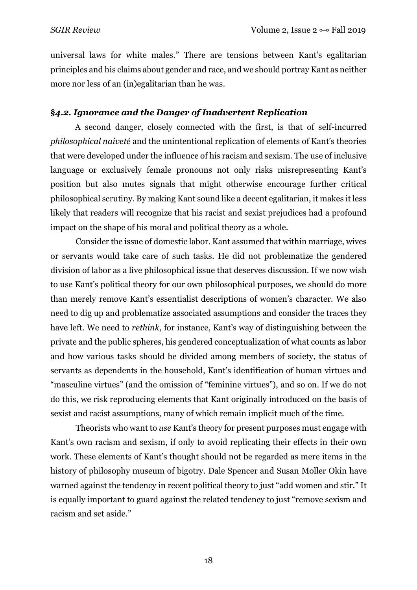universal laws for white males." There are tensions between Kant's egalitarian principles and his claims about gender and race, and we should portray Kant as neither more nor less of an (in)egalitarian than he was.

#### **§***4.2. Ignorance and the Danger of Inadvertent Replication*

A second danger, closely connected with the first, is that of self-incurred *philosophical naiveté* and the unintentional replication of elements of Kant's theories that were developed under the influence of his racism and sexism. The use of inclusive language or exclusively female pronouns not only risks misrepresenting Kant's position but also mutes signals that might otherwise encourage further critical philosophical scrutiny. By making Kant sound like a decent egalitarian, it makes it less likely that readers will recognize that his racist and sexist prejudices had a profound impact on the shape of his moral and political theory as a whole.

Consider the issue of domestic labor. Kant assumed that within marriage, wives or servants would take care of such tasks. He did not problematize the gendered division of labor as a live philosophical issue that deserves discussion. If we now wish to use Kant's political theory for our own philosophical purposes, we should do more than merely remove Kant's essentialist descriptions of women's character. We also need to dig up and problematize associated assumptions and consider the traces they have left. We need to *rethink*, for instance, Kant's way of distinguishing between the private and the public spheres, his gendered conceptualization of what counts as labor and how various tasks should be divided among members of society, the status of servants as dependents in the household, Kant's identification of human virtues and "masculine virtues" (and the omission of "feminine virtues"), and so on. If we do not do this, we risk reproducing elements that Kant originally introduced on the basis of sexist and racist assumptions, many of which remain implicit much of the time.

Theorists who want to *use* Kant's theory for present purposes must engage with Kant's own racism and sexism, if only to avoid replicating their effects in their own work. These elements of Kant's thought should not be regarded as mere items in the history of philosophy museum of bigotry. Dale Spencer and Susan Moller Okin have warned against the tendency in recent political theory to just "add women and stir." It is equally important to guard against the related tendency to just "remove sexism and racism and set aside."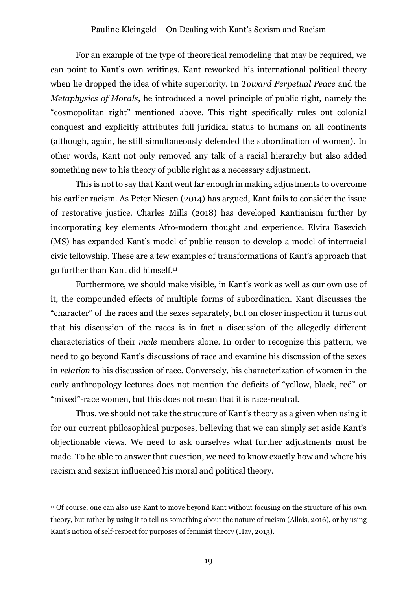For an example of the type of theoretical remodeling that may be required, we can point to Kant's own writings. Kant reworked his international political theory when he dropped the idea of white superiority. In *Toward Perpetual Peace* and the *Metaphysics of Morals*, he introduced a novel principle of public right, namely the "cosmopolitan right" mentioned above. This right specifically rules out colonial conquest and explicitly attributes full juridical status to humans on all continents (although, again, he still simultaneously defended the subordination of women). In other words, Kant not only removed any talk of a racial hierarchy but also added something new to his theory of public right as a necessary adjustment.

This is not to say that Kant went far enough in making adjustments to overcome his earlier racism. As Peter Niesen (2014) has argued, Kant fails to consider the issue of restorative justice. Charles Mills (2018) has developed Kantianism further by incorporating key elements Afro-modern thought and experience. Elvira Basevich (MS) has expanded Kant's model of public reason to develop a model of interracial civic fellowship. These are a few examples of transformations of Kant's approach that go further than Kant did himself.11

Furthermore, we should make visible, in Kant's work as well as our own use of it, the compounded effects of multiple forms of subordination. Kant discusses the "character" of the races and the sexes separately, but on closer inspection it turns out that his discussion of the races is in fact a discussion of the allegedly different characteristics of their *male* members alone. In order to recognize this pattern, we need to go beyond Kant's discussions of race and examine his discussion of the sexes in *relation* to his discussion of race. Conversely, his characterization of women in the early anthropology lectures does not mention the deficits of "yellow, black, red" or "mixed"-race women, but this does not mean that it is race-neutral.

Thus, we should not take the structure of Kant's theory as a given when using it for our current philosophical purposes, believing that we can simply set aside Kant's objectionable views. We need to ask ourselves what further adjustments must be made. To be able to answer that question, we need to know exactly how and where his racism and sexism influenced his moral and political theory.

<sup>11</sup> Of course, one can also use Kant to move beyond Kant without focusing on the structure of his own theory, but rather by using it to tell us something about the nature of racism (Allais, 2016), or by using Kant's notion of self-respect for purposes of feminist theory (Hay, 2013).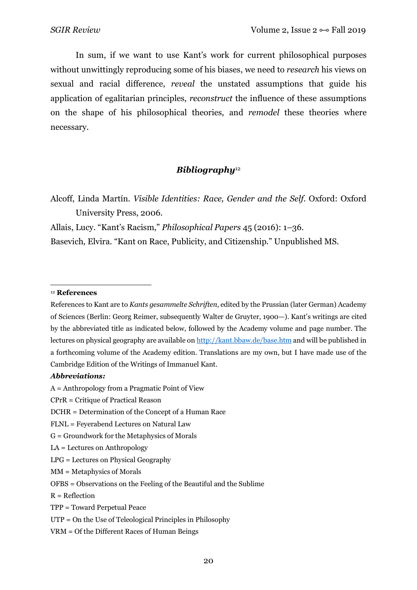In sum, if we want to use Kant's work for current philosophical purposes without unwittingly reproducing some of his biases, we need to *research* his views on sexual and racial difference, *reveal* the unstated assumptions that guide his application of egalitarian principles, *reconstruct* the influence of these assumptions on the shape of his philosophical theories, and *remodel* these theories where necessary.

## *Bibliography*<sup>12</sup>

Alcoff, Linda Martín. *Visible Identities: Race, Gender and the Self*. Oxford: Oxford University Press, 2006.

Allais, Lucy. "Kant's Racism," *Philosophical Papers* 45 (2016): 1–36.

Basevich, Elvira. "Kant on Race, Publicity, and Citizenship." Unpublished MS.

#### $\overline{a}$ <sup>12</sup> **References**

#### *Abbreviations:*

- G = Groundwork for the Metaphysics of Morals
- LA = Lectures on Anthropology
- LPG = Lectures on Physical Geography
- MM = Metaphysics of Morals

 $R = Reflection$ 

VRM = Of the Different Races of Human Beings

References to Kant are to *Kants gesammelte Schriften,* edited by the Prussian (later German) Academy of Sciences (Berlin: Georg Reimer, subsequently Walter de Gruyter, 1900—). Kant's writings are cited by the abbreviated title as indicated below, followed by the Academy volume and page number. The lectures on physical geography are available on http://kant.bbaw.de/base.htm and will be published in a forthcoming volume of the Academy edition. Translations are my own, but I have made use of the Cambridge Edition of the Writings of Immanuel Kant.

A = Anthropology from a Pragmatic Point of View

CPrR = Critique of Practical Reason

DCHR = Determination of the Concept of a Human Race

FLNL = Feyerabend Lectures on Natural Law

OFBS = Observations on the Feeling of the Beautiful and the Sublime

TPP = Toward Perpetual Peace

UTP = On the Use of Teleological Principles in Philosophy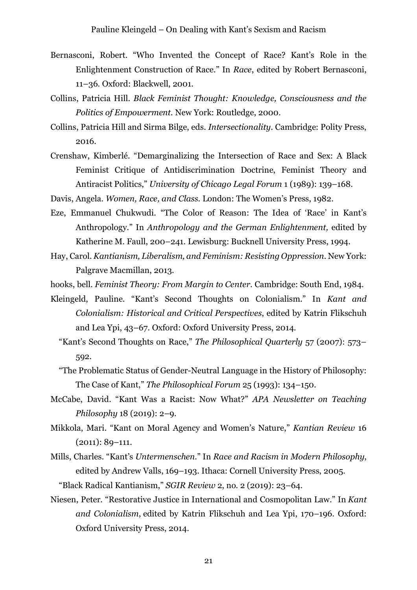- Bernasconi, Robert. "Who Invented the Concept of Race? Kant's Role in the Enlightenment Construction of Race." In *Race*, edited by Robert Bernasconi, 11–36. Oxford: Blackwell, 2001.
- Collins, Patricia Hill. *Black Feminist Thought: Knowledge, Consciousness and the Politics of Empowerment.* New York: Routledge, 2000.
- Collins, Patricia Hill and Sirma Bilge, eds. *Intersectionality*. Cambridge: Polity Press, 2016.
- Crenshaw, Kimberlé. "Demarginalizing the Intersection of Race and Sex: A Black Feminist Critique of Antidiscrimination Doctrine, Feminist Theory and Antiracist Politics," *University of Chicago Legal Forum* 1 (1989): 139–168.
- Davis, Angela. *Women, Race, and Class.* London: The Women's Press, 1982.
- Eze, Emmanuel Chukwudi. "The Color of Reason: The Idea of 'Race' in Kant's Anthropology." In *Anthropology and the German Enlightenment,* edited by Katherine M. Faull, 200–241. Lewisburg: Bucknell University Press, 1994.
- Hay, Carol. *Kantianism, Liberalism, and Feminism: Resisting Oppression.* New York: Palgrave Macmillan, 2013.
- hooks, bell. *Feminist Theory: From Margin to Center.* Cambridge: South End, 1984.
- Kleingeld, Pauline. "Kant's Second Thoughts on Colonialism." In *Kant and Colonialism: Historical and Critical Perspectives*, edited by Katrin Flikschuh and Lea Ypi, 43–67. Oxford: Oxford University Press, 2014.
	- "Kant's Second Thoughts on Race," *The Philosophical Quarterly* 57 (2007): 573– 592.
	- "The Problematic Status of Gender-Neutral Language in the History of Philosophy: The Case of Kant," *The Philosophical Forum* 25 (1993): 134–150.
- McCabe, David. "Kant Was a Racist: Now What?" *APA Newsletter on Teaching Philosophy* 18 (2019): 2–9.
- Mikkola, Mari. "Kant on Moral Agency and Women's Nature," *Kantian Review* 16 (2011): 89–111.
- Mills, Charles. "Kant's *Untermenschen*." In *Race and Racism in Modern Philosophy*, edited by Andrew Valls, 169–193. Ithaca: Cornell University Press, 2005.
	- "Black Radical Kantianism," *SGIR Review* 2, no. 2 (2019): 23–64.
- Niesen, Peter. "Restorative Justice in International and Cosmopolitan Law." In *Kant and Colonialism*, edited by Katrin Flikschuh and Lea Ypi, 170–196. Oxford: Oxford University Press, 2014.